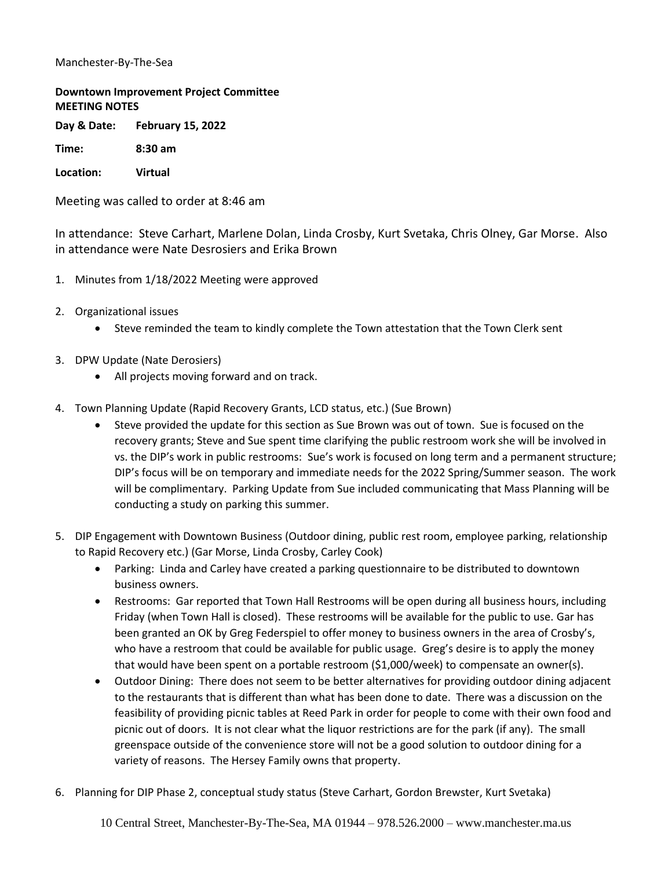## Manchester-By-The-Sea

## **Downtown Improvement Project Committee MEETING NOTES**

**Day & Date: February 15, 2022**

**Time: 8:30 am** 

**Location: Virtual** 

Meeting was called to order at 8:46 am

In attendance: Steve Carhart, Marlene Dolan, Linda Crosby, Kurt Svetaka, Chris Olney, Gar Morse. Also in attendance were Nate Desrosiers and Erika Brown

- 1. Minutes from 1/18/2022 Meeting were approved
- 2. Organizational issues
	- Steve reminded the team to kindly complete the Town attestation that the Town Clerk sent
- 3. DPW Update (Nate Derosiers)
	- All projects moving forward and on track.
- 4. Town Planning Update (Rapid Recovery Grants, LCD status, etc.) (Sue Brown)
	- Steve provided the update for this section as Sue Brown was out of town. Sue is focused on the recovery grants; Steve and Sue spent time clarifying the public restroom work she will be involved in vs. the DIP's work in public restrooms: Sue's work is focused on long term and a permanent structure; DIP's focus will be on temporary and immediate needs for the 2022 Spring/Summer season. The work will be complimentary. Parking Update from Sue included communicating that Mass Planning will be conducting a study on parking this summer.
- 5. DIP Engagement with Downtown Business (Outdoor dining, public rest room, employee parking, relationship to Rapid Recovery etc.) (Gar Morse, Linda Crosby, Carley Cook)
	- Parking: Linda and Carley have created a parking questionnaire to be distributed to downtown business owners.
	- Restrooms: Gar reported that Town Hall Restrooms will be open during all business hours, including Friday (when Town Hall is closed). These restrooms will be available for the public to use. Gar has been granted an OK by Greg Federspiel to offer money to business owners in the area of Crosby's, who have a restroom that could be available for public usage. Greg's desire is to apply the money that would have been spent on a portable restroom (\$1,000/week) to compensate an owner(s).
	- Outdoor Dining: There does not seem to be better alternatives for providing outdoor dining adjacent to the restaurants that is different than what has been done to date. There was a discussion on the feasibility of providing picnic tables at Reed Park in order for people to come with their own food and picnic out of doors. It is not clear what the liquor restrictions are for the park (if any). The small greenspace outside of the convenience store will not be a good solution to outdoor dining for a variety of reasons. The Hersey Family owns that property.
- 6. Planning for DIP Phase 2, conceptual study status (Steve Carhart, Gordon Brewster, Kurt Svetaka)